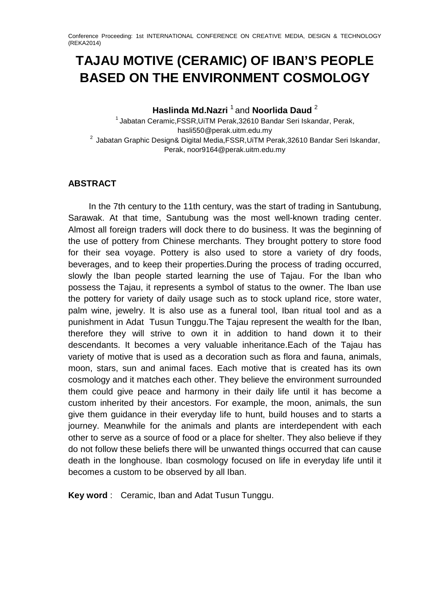# **TAJAU MOTIVE (CERAMIC) OF IBAN'S PEOPLE BASED ON THE ENVIRONMENT COSMOLOGY**

**Haslinda Md.Nazri** <sup>1</sup> and **Noorlida Daud** <sup>2</sup>

 $1$ Jabatan Ceramic, FSSR, UiTM Perak, 32610 Bandar Seri Iskandar, Perak, hasli550@perak.uitm.edu.my 2 Jabatan Graphic Design& Digital Media,FSSR,UiTM Perak,32610 Bandar Seri Iskandar, Perak, noor9164@perak.uitm.edu.my

# **ABSTRACT**

In the 7th century to the 11th century, was the start of trading in Santubung, Sarawak. At that time, Santubung was the most well-known trading center. Almost all foreign traders will dock there to do business. It was the beginning of the use of pottery from Chinese merchants. They brought pottery to store food for their sea voyage. Pottery is also used to store a variety of dry foods, beverages, and to keep their properties.During the process of trading occurred, slowly the Iban people started learning the use of Tajau. For the Iban who possess the Tajau, it represents a symbol of status to the owner. The Iban use the pottery for variety of daily usage such as to stock upland rice, store water, palm wine, jewelry. It is also use as a funeral tool, Iban ritual tool and as a punishment in Adat Tusun Tunggu.The Tajau represent the wealth for the Iban, therefore they will strive to own it in addition to hand down it to their descendants. It becomes a very valuable inheritance.Each of the Tajau has variety of motive that is used as a decoration such as flora and fauna, animals, moon, stars, sun and animal faces. Each motive that is created has its own cosmology and it matches each other. They believe the environment surrounded them could give peace and harmony in their daily life until it has become a custom inherited by their ancestors. For example, the moon, animals, the sun give them guidance in their everyday life to hunt, build houses and to starts a journey. Meanwhile for the animals and plants are interdependent with each other to serve as a source of food or a place for shelter. They also believe if they do not follow these beliefs there will be unwanted things occurred that can cause death in the longhouse. Iban cosmology focused on life in everyday life until it becomes a custom to be observed by all Iban.

**Key word** : Ceramic, Iban and Adat Tusun Tunggu.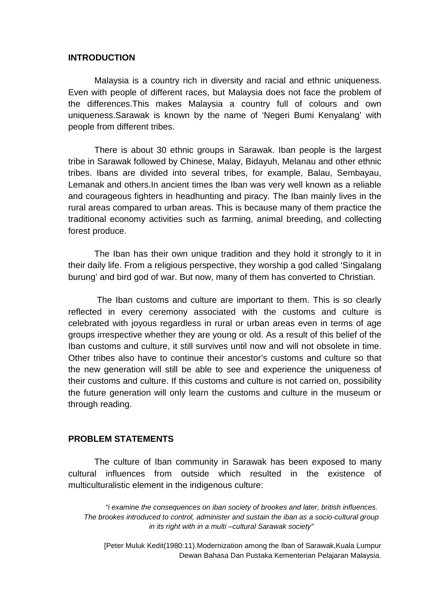#### **INTRODUCTION**

Malaysia is a country rich in diversity and racial and ethnic uniqueness. Even with people of different races, but Malaysia does not face the problem of the differences.This makes Malaysia a country full of colours and own uniqueness.Sarawak is known by the name of 'Negeri Bumi Kenyalang' with people from different tribes.

There is about 30 ethnic groups in Sarawak. Iban people is the largest tribe in Sarawak followed by Chinese, Malay, Bidayuh, Melanau and other ethnic tribes. Ibans are divided into several tribes, for example, Balau, Sembayau, Lemanak and others.In ancient times the Iban was very well known as a reliable and courageous fighters in headhunting and piracy. The Iban mainly lives in the rural areas compared to urban areas. This is because many of them practice the traditional economy activities such as farming, animal breeding, and collecting forest produce.

The Iban has their own unique tradition and they hold it strongly to it in their daily life. From a religious perspective, they worship a god called 'Singalang burung' and bird god of war. But now, many of them has converted to Christian.

The Iban customs and culture are important to them. This is so clearly reflected in every ceremony associated with the customs and culture is celebrated with joyous regardless in rural or urban areas even in terms of age groups irrespective whether they are young or old. As a result of this belief of the Iban customs and culture, it still survives until now and will not obsolete in time. Other tribes also have to continue their ancestor's customs and culture so that the new generation will still be able to see and experience the uniqueness of their customs and culture. If this customs and culture is not carried on, possibility the future generation will only learn the customs and culture in the museum or through reading.

#### **PROBLEM STATEMENTS**

The culture of Iban community in Sarawak has been exposed to many cultural influences from outside which resulted in the existence of multiculturalistic element in the indigenous culture:

*"i examine the consequences on iban society of brookes and later, british influences. The brookes introduced to control, administer and sustain the iban as a socio-cultural group in its right with in a multi –cultural Sarawak society"*

[Peter Muluk Kedit(1980:11).Modernization among the Iban of Sarawak,Kuala Lumpur Dewan Bahasa Dan Pustaka Kementerian Pelajaran Malaysia.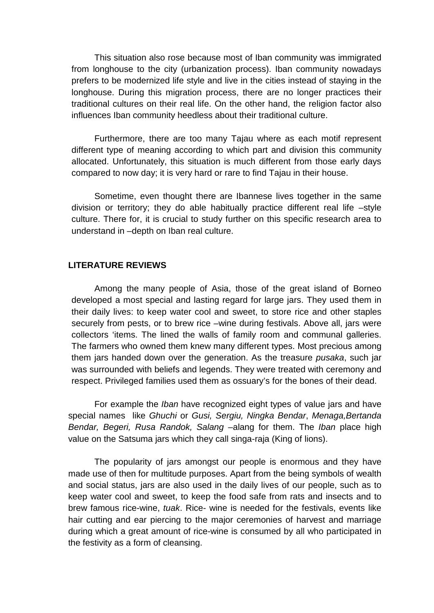This situation also rose because most of Iban community was immigrated from longhouse to the city (urbanization process). Iban community nowadays prefers to be modernized life style and live in the cities instead of staying in the longhouse. During this migration process, there are no longer practices their traditional cultures on their real life. On the other hand, the religion factor also influences Iban community heedless about their traditional culture.

Furthermore, there are too many Tajau where as each motif represent different type of meaning according to which part and division this community allocated. Unfortunately, this situation is much different from those early days compared to now day; it is very hard or rare to find Tajau in their house.

Sometime, even thought there are Ibannese lives together in the same division or territory; they do able habitually practice different real life –style culture. There for, it is crucial to study further on this specific research area to understand in –depth on Iban real culture.

### **LITERATURE REVIEWS**

Among the many people of Asia, those of the great island of Borneo developed a most special and lasting regard for large jars. They used them in their daily lives: to keep water cool and sweet, to store rice and other staples securely from pests, or to brew rice –wine during festivals. Above all, jars were collectors 'items. The lined the walls of family room and communal galleries. The farmers who owned them knew many different types. Most precious among them jars handed down over the generation. As the treasure *pusaka*, such jar was surrounded with beliefs and legends. They were treated with ceremony and respect. Privileged families used them as ossuary's for the bones of their dead.

For example the *Iban* have recognized eight types of value jars and have special names like *Ghuchi* or *Gusi, Sergiu, Ningka Bendar*, *Menaga,Bertanda Bendar, Begeri, Rusa Randok, Salang* –alang for them. The *Iban* place high value on the Satsuma jars which they call singa-raja (King of lions).

The popularity of jars amongst our people is enormous and they have made use of then for multitude purposes. Apart from the being symbols of wealth and social status, jars are also used in the daily lives of our people, such as to keep water cool and sweet, to keep the food safe from rats and insects and to brew famous rice-wine, *tuak*. Rice- wine is needed for the festivals, events like hair cutting and ear piercing to the major ceremonies of harvest and marriage during which a great amount of rice-wine is consumed by all who participated in the festivity as a form of cleansing.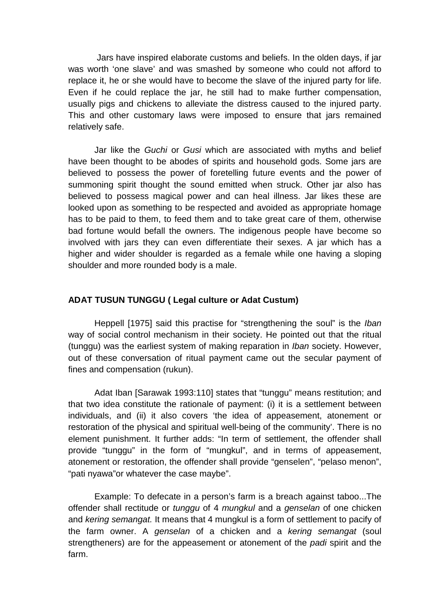Jars have inspired elaborate customs and beliefs. In the olden days, if jar was worth 'one slave' and was smashed by someone who could not afford to replace it, he or she would have to become the slave of the injured party for life. Even if he could replace the jar, he still had to make further compensation, usually pigs and chickens to alleviate the distress caused to the injured party. This and other customary laws were imposed to ensure that jars remained relatively safe.

Jar like the *Guchi* or *Gusi* which are associated with myths and belief have been thought to be abodes of spirits and household gods. Some jars are believed to possess the power of foretelling future events and the power of summoning spirit thought the sound emitted when struck. Other jar also has believed to possess magical power and can heal illness. Jar likes these are looked upon as something to be respected and avoided as appropriate homage has to be paid to them, to feed them and to take great care of them, otherwise bad fortune would befall the owners. The indigenous people have become so involved with jars they can even differentiate their sexes. A jar which has a higher and wider shoulder is regarded as a female while one having a sloping shoulder and more rounded body is a male.

### **ADAT TUSUN TUNGGU ( Legal culture or Adat Custum)**

Heppell [1975] said this practise for "strengthening the soul" is the *Iban*  way of social control mechanism in their society. He pointed out that the ritual (tunggu) was the earliest system of making reparation in *Iban* society. However, out of these conversation of ritual payment came out the secular payment of fines and compensation (rukun).

Adat Iban [Sarawak 1993:110] states that "tunggu" means restitution; and that two idea constitute the rationale of payment: (i) it is a settlement between individuals, and (ii) it also covers 'the idea of appeasement, atonement or restoration of the physical and spiritual well-being of the community'. There is no element punishment. It further adds: "In term of settlement, the offender shall provide "tunggu" in the form of "mungkul", and in terms of appeasement, atonement or restoration, the offender shall provide "genselen", "pelaso menon", "pati nyawa"or whatever the case maybe".

Example: To defecate in a person's farm is a breach against taboo...The offender shall rectitude or *tunggu* of 4 *mungkul* and a *genselan* of one chicken and *kering semangat.* It means that 4 mungkul is a form of settlement to pacify of the farm owner. A *genselan* of a chicken and a *kering semangat* (soul strengtheners) are for the appeasement or atonement of the *padi* spirit and the farm.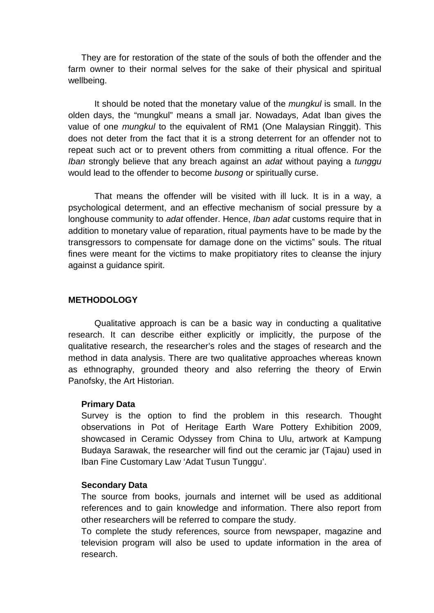They are for restoration of the state of the souls of both the offender and the farm owner to their normal selves for the sake of their physical and spiritual wellbeing.

It should be noted that the monetary value of the *mungkul* is small. In the olden days, the "mungkul" means a small jar. Nowadays, Adat Iban gives the value of one *mungkul* to the equivalent of RM1 (One Malaysian Ringgit). This does not deter from the fact that it is a strong deterrent for an offender not to repeat such act or to prevent others from committing a ritual offence. For the *Iban* strongly believe that any breach against an *adat* without paying a *tunggu*  would lead to the offender to become *busong* or spiritually curse.

That means the offender will be visited with ill luck. It is in a way, a psychological determent, and an effective mechanism of social pressure by a longhouse community to *adat* offender. Hence, *Iban adat* customs require that in addition to monetary value of reparation, ritual payments have to be made by the transgressors to compensate for damage done on the victims" souls. The ritual fines were meant for the victims to make propitiatory rites to cleanse the injury against a guidance spirit.

### **METHODOLOGY**

Qualitative approach is can be a basic way in conducting a qualitative research. It can describe either explicitly or implicitly, the purpose of the qualitative research, the researcher's roles and the stages of research and the method in data analysis. There are two qualitative approaches whereas known as ethnography, grounded theory and also referring the theory of Erwin Panofsky, the Art Historian.

### **Primary Data**

Survey is the option to find the problem in this research. Thought observations in Pot of Heritage Earth Ware Pottery Exhibition 2009, showcased in Ceramic Odyssey from China to Ulu, artwork at Kampung Budaya Sarawak, the researcher will find out the ceramic jar (Tajau) used in Iban Fine Customary Law 'Adat Tusun Tunggu'.

### **Secondary Data**

The source from books, journals and internet will be used as additional references and to gain knowledge and information. There also report from other researchers will be referred to compare the study.

To complete the study references, source from newspaper, magazine and television program will also be used to update information in the area of research.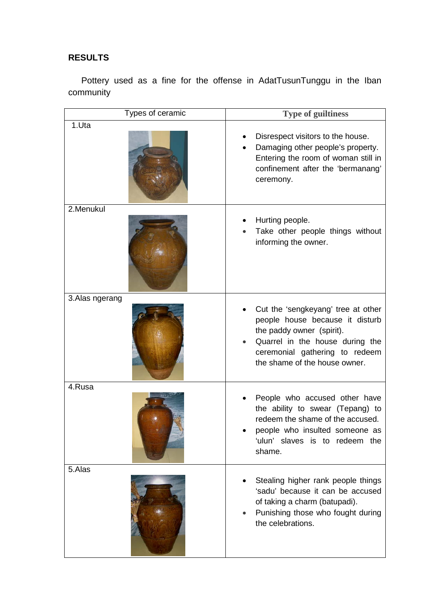# **RESULTS**

Pottery used as a fine for the offense in AdatTusunTunggu in the Iban community

| Types of ceramic | <b>Type of guiltiness</b>                                                                                                                                                                                |
|------------------|----------------------------------------------------------------------------------------------------------------------------------------------------------------------------------------------------------|
| 1.Uta            | Disrespect visitors to the house.<br>Damaging other people's property.<br>Entering the room of woman still in<br>confinement after the 'bermanang'<br>ceremony.                                          |
| 2.Menukul        | Hurting people.<br>Take other people things without<br>informing the owner.                                                                                                                              |
| 3. Alas ngerang  | Cut the 'sengkeyang' tree at other<br>people house because it disturb<br>the paddy owner (spirit).<br>Quarrel in the house during the<br>ceremonial gathering to redeem<br>the shame of the house owner. |
| 4.Rusa           | People who accused other have<br>the ability to swear (Tepang) to<br>redeem the shame of the accused.<br>people who insulted someone as<br>'ulun' slaves is to redeem the<br>shame.                      |
| 5.Alas           | Stealing higher rank people things<br>'sadu' because it can be accused<br>of taking a charm (batupadi).<br>Punishing those who fought during<br>the celebrations.                                        |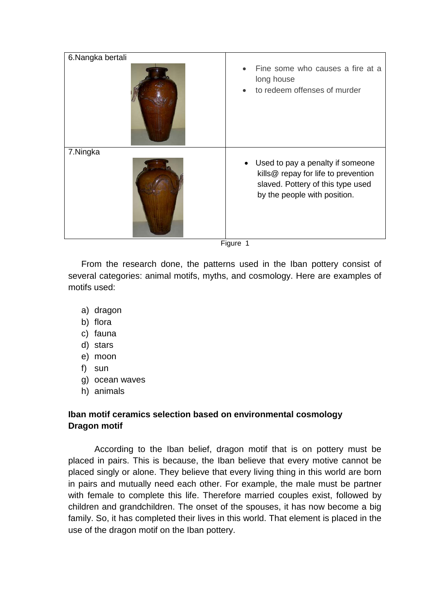| 6.Nangka bertali |                                                                                                                                                           |
|------------------|-----------------------------------------------------------------------------------------------------------------------------------------------------------|
|                  | Fine some who causes a fire at a<br>long house<br>to redeem offenses of murder                                                                            |
| 7.Ningka         |                                                                                                                                                           |
|                  | Used to pay a penalty if someone<br>$\bullet$<br>kills@ repay for life to prevention<br>slaved. Pottery of this type used<br>by the people with position. |

Figure 1

From the research done, the patterns used in the Iban pottery consist of several categories: animal motifs, myths, and cosmology. Here are examples of motifs used:

- a) dragon
- b) flora
- c) fauna
- d) stars
- e) moon
- f) sun
- g) ocean waves
- h) animals

# **Iban motif ceramics selection based on environmental cosmology Dragon motif**

According to the Iban belief, dragon motif that is on pottery must be placed in pairs. This is because, the Iban believe that every motive cannot be placed singly or alone. They believe that every living thing in this world are born in pairs and mutually need each other. For example, the male must be partner with female to complete this life. Therefore married couples exist, followed by children and grandchildren. The onset of the spouses, it has now become a big family. So, it has completed their lives in this world. That element is placed in the use of the dragon motif on the Iban pottery.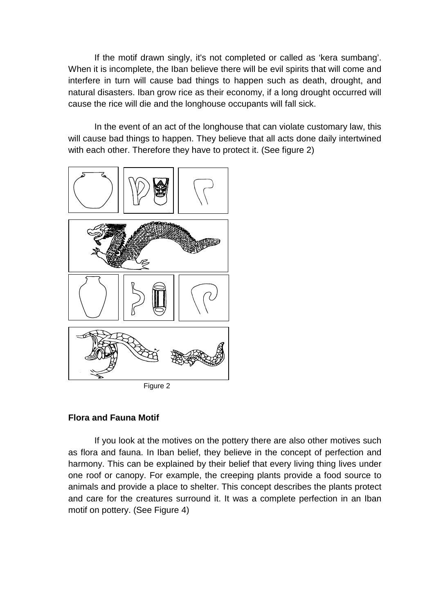If the motif drawn singly, it's not completed or called as 'kera sumbang'. When it is incomplete, the Iban believe there will be evil spirits that will come and interfere in turn will cause bad things to happen such as death, drought, and natural disasters. Iban grow rice as their economy, if a long drought occurred will cause the rice will die and the longhouse occupants will fall sick.

In the event of an act of the longhouse that can violate customary law, this will cause bad things to happen. They believe that all acts done daily intertwined with each other. Therefore they have to protect it. (See figure 2)



Figure 2

# **Flora and Fauna Motif**

If you look at the motives on the pottery there are also other motives such as flora and fauna. In Iban belief, they believe in the concept of perfection and harmony. This can be explained by their belief that every living thing lives under one roof or canopy. For example, the creeping plants provide a food source to animals and provide a place to shelter. This concept describes the plants protect and care for the creatures surround it. It was a complete perfection in an Iban motif on pottery. (See Figure 4)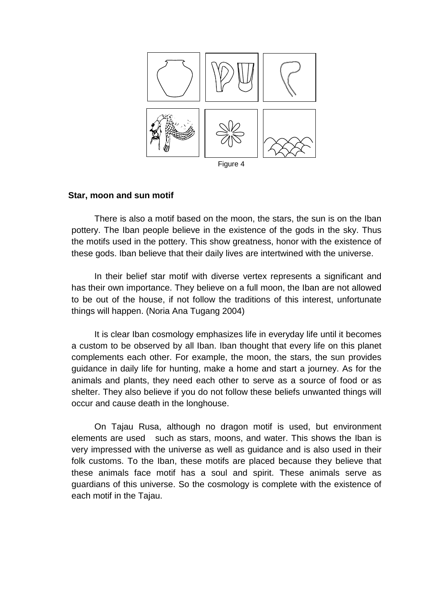

### **Star, moon and sun motif**

There is also a motif based on the moon, the stars, the sun is on the Iban pottery. The Iban people believe in the existence of the gods in the sky. Thus the motifs used in the pottery. This show greatness, honor with the existence of these gods. Iban believe that their daily lives are intertwined with the universe.

In their belief star motif with diverse vertex represents a significant and has their own importance. They believe on a full moon, the Iban are not allowed to be out of the house, if not follow the traditions of this interest, unfortunate things will happen. (Noria Ana Tugang 2004)

It is clear Iban cosmology emphasizes life in everyday life until it becomes a custom to be observed by all Iban. Iban thought that every life on this planet complements each other. For example, the moon, the stars, the sun provides guidance in daily life for hunting, make a home and start a journey. As for the animals and plants, they need each other to serve as a source of food or as shelter. They also believe if you do not follow these beliefs unwanted things will occur and cause death in the longhouse.

On Tajau Rusa, although no dragon motif is used, but environment elements are used such as stars, moons, and water. This shows the Iban is very impressed with the universe as well as guidance and is also used in their folk customs. To the Iban, these motifs are placed because they believe that these animals face motif has a soul and spirit. These animals serve as guardians of this universe. So the cosmology is complete with the existence of each motif in the Tajau.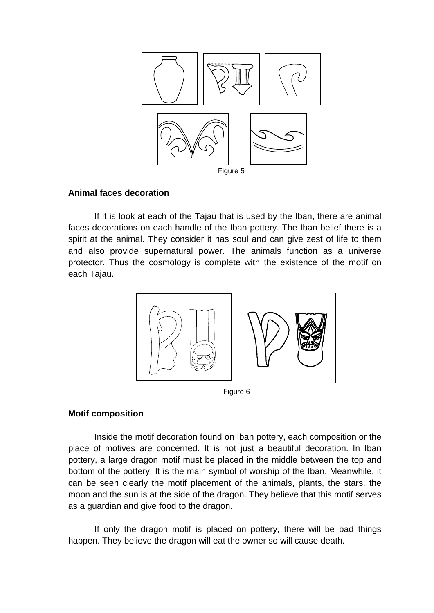

## **Animal faces decoration**

If it is look at each of the Tajau that is used by the Iban, there are animal faces decorations on each handle of the Iban pottery. The Iban belief there is a spirit at the animal. They consider it has soul and can give zest of life to them and also provide supernatural power. The animals function as a universe protector. Thus the cosmology is complete with the existence of the motif on each Tajau.



Figure 6

# **Motif composition**

Inside the motif decoration found on Iban pottery, each composition or the place of motives are concerned. It is not just a beautiful decoration. In Iban pottery, a large dragon motif must be placed in the middle between the top and bottom of the pottery. It is the main symbol of worship of the Iban. Meanwhile, it can be seen clearly the motif placement of the animals, plants, the stars, the moon and the sun is at the side of the dragon. They believe that this motif serves as a guardian and give food to the dragon.

If only the dragon motif is placed on pottery, there will be bad things happen. They believe the dragon will eat the owner so will cause death.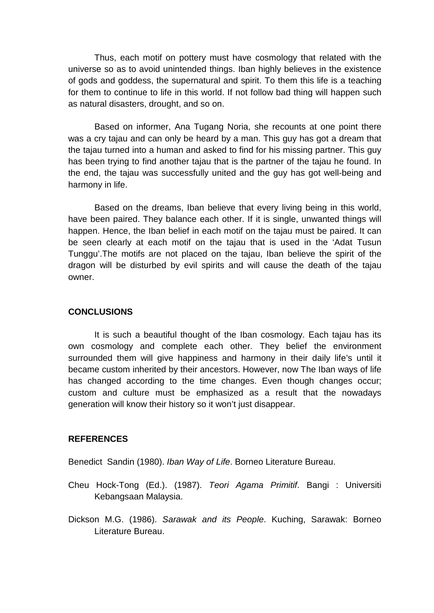Thus, each motif on pottery must have cosmology that related with the universe so as to avoid unintended things. Iban highly believes in the existence of gods and goddess, the supernatural and spirit. To them this life is a teaching for them to continue to life in this world. If not follow bad thing will happen such as natural disasters, drought, and so on.

Based on informer, Ana Tugang Noria, she recounts at one point there was a cry tajau and can only be heard by a man. This guy has got a dream that the tajau turned into a human and asked to find for his missing partner. This guy has been trying to find another tajau that is the partner of the tajau he found. In the end, the tajau was successfully united and the guy has got well-being and harmony in life.

Based on the dreams, Iban believe that every living being in this world, have been paired. They balance each other. If it is single, unwanted things will happen. Hence, the Iban belief in each motif on the tajau must be paired. It can be seen clearly at each motif on the tajau that is used in the 'Adat Tusun Tunggu'.The motifs are not placed on the tajau, Iban believe the spirit of the dragon will be disturbed by evil spirits and will cause the death of the tajau owner.

### **CONCLUSIONS**

It is such a beautiful thought of the Iban cosmology. Each tajau has its own cosmology and complete each other. They belief the environment surrounded them will give happiness and harmony in their daily life's until it became custom inherited by their ancestors. However, now The Iban ways of life has changed according to the time changes. Even though changes occur; custom and culture must be emphasized as a result that the nowadays generation will know their history so it won't just disappear.

### **REFERENCES**

Benedict Sandin (1980). *Iban Way of Life*. Borneo Literature Bureau.

Cheu Hock-Tong (Ed.). (1987). *Teori Agama Primitif*. Bangi : Universiti Kebangsaan Malaysia.

Dickson M.G. (1986). *Sarawak and its People*. Kuching, Sarawak: Borneo Literature Bureau.